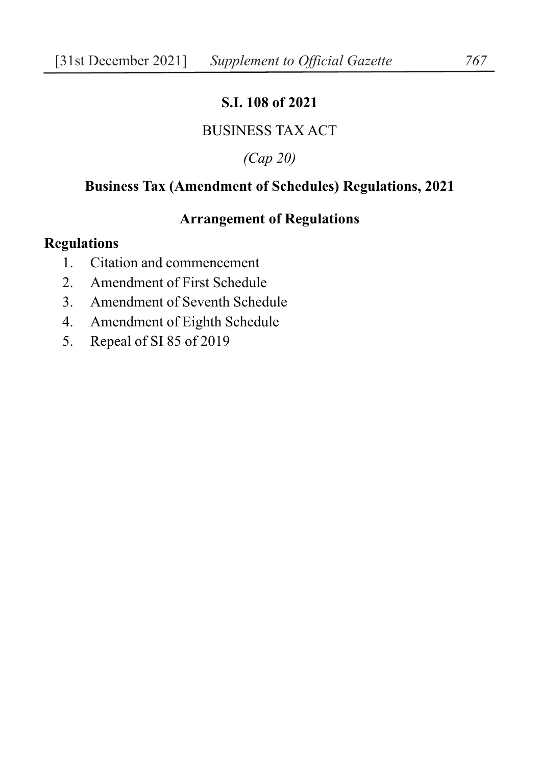# **S.I. 108 of 2021**

## BUSINESS TAX ACT

## *(Cap 20)*

## **Business Tax (Amendment of Schedules) Regulations, 2021**

### **Arrangement of Regulations**

# **Regulations**

- 1. Citation and commencement
- 2. Amendment of First Schedule
- 3. Amendment of Seventh Schedule
- 4. Amendment of Eighth Schedule
- 5. Repeal of SI 85 of 2019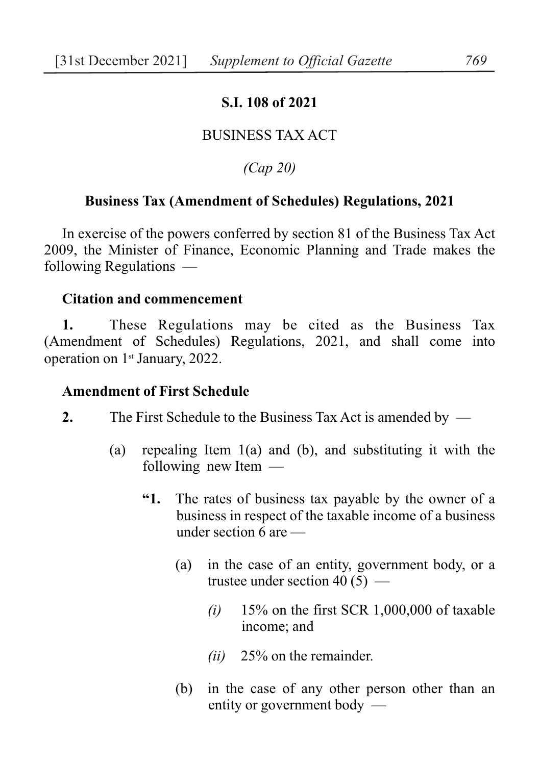### **S.I. 108 of 2021**

### BUSINESS TAX ACT

*(Cap 20)*

### **Business Tax (Amendment of Schedules) Regulations, 2021**

In exercise of the powers conferred by section 81 of the Business Tax Act 2009, the Minister of Finance, Economic Planning and Trade makes the following Regulations —

#### **Citation and commencement**

**1.** These Regulations may be cited as the Business Tax (Amendment of Schedules) Regulations, 2021, and shall come into operation on  $1<sup>st</sup>$  January, 2022.

#### **Amendment of First Schedule**

- **2.** The First Schedule to the Business Tax Act is amended by
	- (a) repealing Item 1(a) and (b), and substituting it with the following new Item —
		- **"1.** The rates of business tax payable by the owner of a business in respect of the taxable income of a business under section 6 are —
			- (a) in the case of an entity, government body, or a trustee under section 40  $(5)$  —
				- *(i)* 15% on the first SCR 1,000,000 of taxable income; and
				- *(ii)* 25% on the remainder.
			- (b) in the case of any other person other than an entity or government body —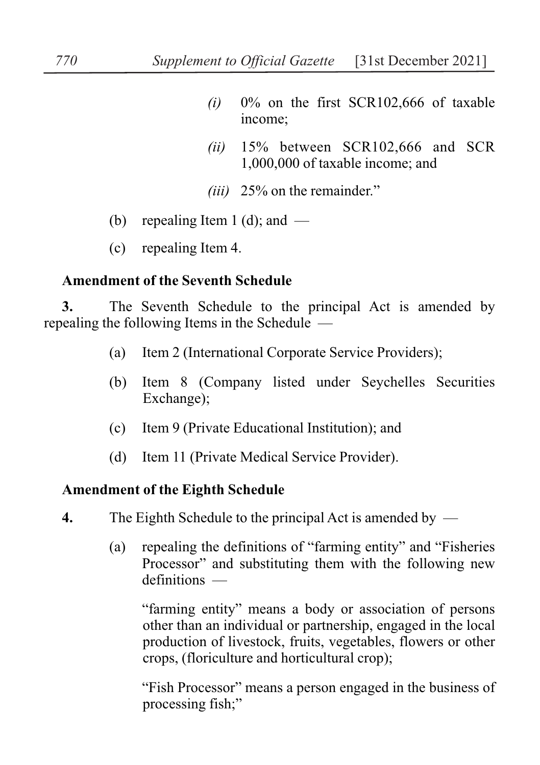- *(i)* 0% on the first SCR102,666 of taxable income;
- *(ii)* 15% between SCR102,666 and SCR 1,000,000 of taxable income; and
- *(iii)* 25% on the remainder."
- (b) repealing Item 1 (d); and  $-$
- (c) repealing Item 4.

## **Amendment of the Seventh Schedule**

**3.** The Seventh Schedule to the principal Act is amended by repealing the following Items in the Schedule —

- (a) Item 2 (International Corporate Service Providers);
- (b) Item 8 (Company listed under Seychelles Securities Exchange);
- (c) Item 9 (Private Educational Institution); and
- (d) Item 11 (Private Medical Service Provider).

## **Amendment of the Eighth Schedule**

- **4.** The Eighth Schedule to the principal Act is amended by
	- (a) repealing the definitions of "farming entity" and "Fisheries Processor" and substituting them with the following new definitions —

"farming entity" means a body or association of persons other than an individual or partnership, engaged in the local production of livestock, fruits, vegetables, flowers or other crops, (floriculture and horticultural crop);

"Fish Processor" means a person engaged in the business of processing fish;"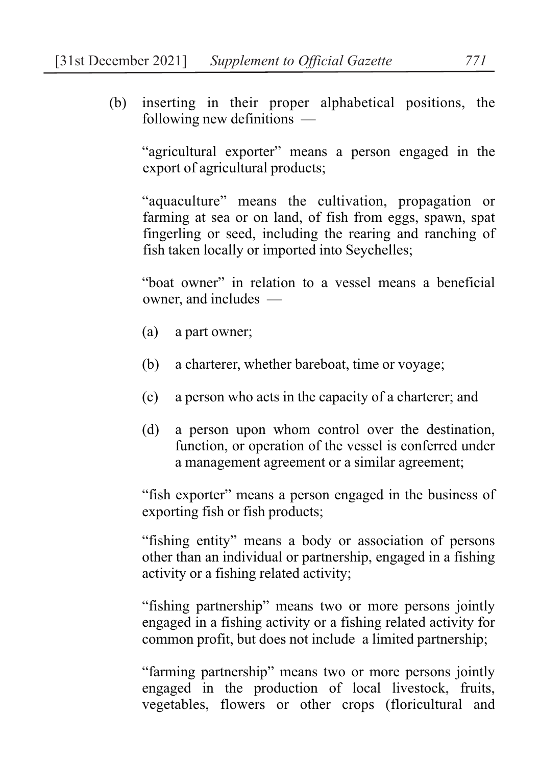(b) inserting in their proper alphabetical positions, the following new definitions —

"agricultural exporter" means a person engaged in the export of agricultural products;

"aquaculture" means the cultivation, propagation or farming at sea or on land, of fish from eggs, spawn, spat fingerling or seed, including the rearing and ranching of fish taken locally or imported into Seychelles;

"boat owner" in relation to a vessel means a beneficial owner, and includes —

- (a) a part owner;
- (b) a charterer, whether bareboat, time or voyage;
- (c) a person who acts in the capacity of a charterer; and
- (d) a person upon whom control over the destination, function, or operation of the vessel is conferred under a management agreement or a similar agreement;

"fish exporter" means a person engaged in the business of exporting fish or fish products;

"fishing entity" means a body or association of persons other than an individual or partnership, engaged in a fishing activity or a fishing related activity;

"fishing partnership" means two or more persons jointly engaged in a fishing activity or a fishing related activity for common profit, but does not include a limited partnership;

"farming partnership" means two or more persons jointly engaged in the production of local livestock, fruits, vegetables, flowers or other crops (floricultural and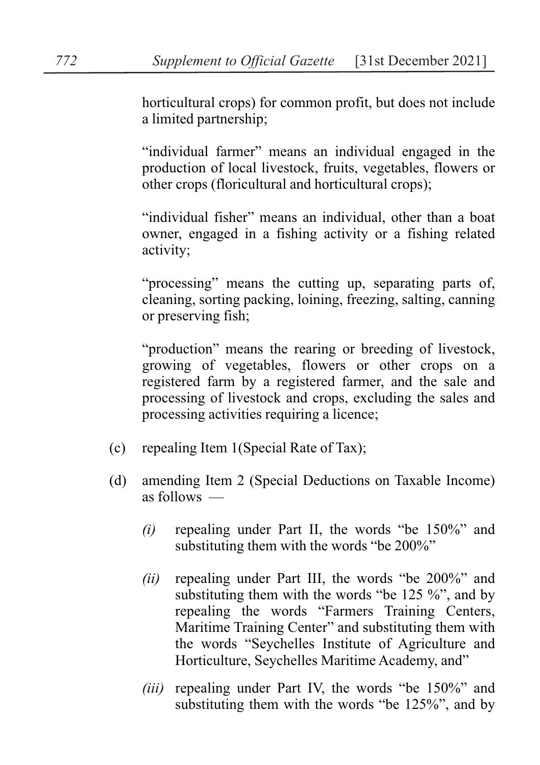horticultural crops) for common profit, but does not include a limited partnership;

"individual farmer" means an individual engaged in the production of local livestock, fruits, vegetables, flowers or other crops (floricultural and horticultural crops);

"individual fisher" means an individual, other than a boat owner, engaged in a fishing activity or a fishing related activity;

"processing" means the cutting up, separating parts of, cleaning, sorting packing, loining, freezing, salting, canning or preserving fish;

"production" means the rearing or breeding of livestock, growing of vegetables, flowers or other crops on a registered farm by a registered farmer, and the sale and processing of livestock and crops, excluding the sales and processing activities requiring a licence;

- (c) repealing Item 1(Special Rate of Tax);
- (d) amending Item 2 (Special Deductions on Taxable Income) as follows —
	- *(i)* repealing under Part II, the words "be 150%" and substituting them with the words "be 200%"
	- *(ii)* repealing under Part III, the words "be 200%" and substituting them with the words "be 125 %", and by repealing the words "Farmers Training Centers, Maritime Training Center" and substituting them with the words "Seychelles Institute of Agriculture and Horticulture, Seychelles Maritime Academy, and"
	- *(iii)* repealing under Part IV, the words "be 150%" and substituting them with the words "be 125%", and by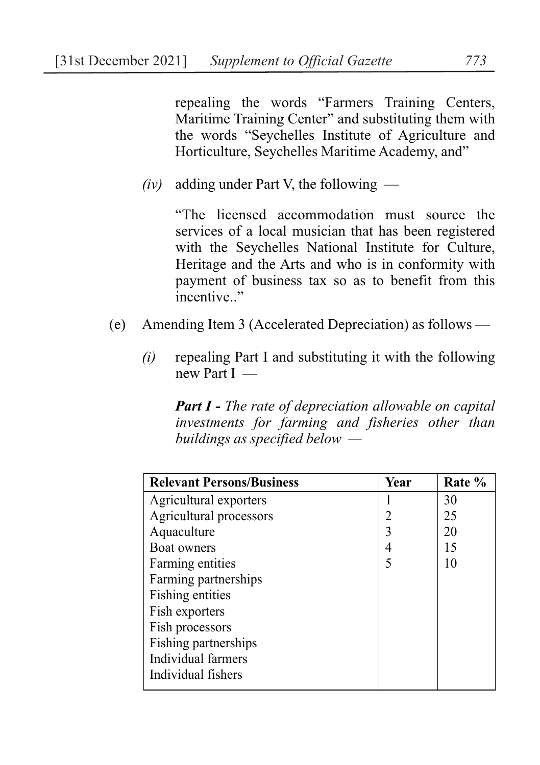repealing the words "Farmers Training Centers, Maritime Training Center" and substituting them with the words "Seychelles Institute of Agriculture and Horticulture, Seychelles Maritime Academy, and"

 $(iv)$  adding under Part V, the following —

"The licensed accommodation must source the services of a local musician that has been registered with the Seychelles National Institute for Culture, Heritage and the Arts and who is in conformity with payment of business tax so as to benefit from this  $\frac{1}{2}$ incentive..."

- (e) Amending Item 3 (Accelerated Depreciation) as follows
	- *(i)* repealing Part I and substituting it with the following new Part I —

*Part I - The rate of depreciation allowable on capital investments for farming and fisheries other than buildings as specified below —* 

| <b>Relevant Persons/Business</b> | Year | Rate % |
|----------------------------------|------|--------|
| Agricultural exporters           |      | 30     |
| Agricultural processors          |      | 25     |
| Aquaculture                      |      | 20     |
| <b>Boat owners</b>               |      | 15     |
| Farming entities                 |      | 10     |
| Farming partnerships             |      |        |
| Fishing entities                 |      |        |
| Fish exporters                   |      |        |
| Fish processors                  |      |        |
| Fishing partnerships             |      |        |
| Individual farmers               |      |        |
| Individual fishers               |      |        |